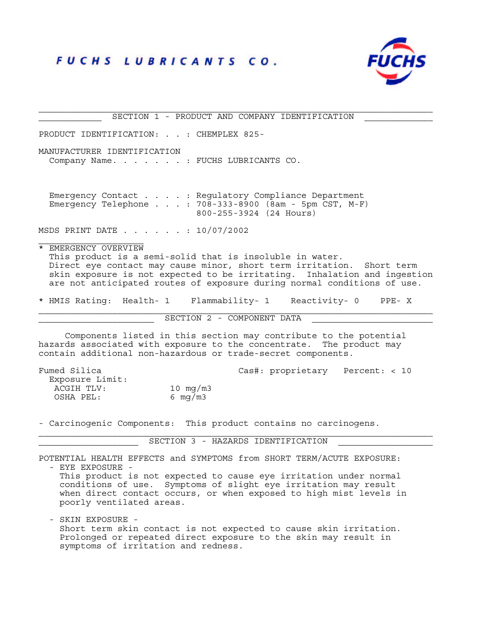# FUCHS LUBRICANTS CO.



PRODUCT IDENTIFICATION: . . : CHEMPLEX 825- MANUFACTURER IDENTIFICATION Company Name. . . . . . . : FUCHS LUBRICANTS CO. Emergency Contact . . . . : Regulatory Compliance Department Emergency Telephone . . . : 708-333-8900 (8am - 5pm CST, M-F) 800-255-3924 (24 Hours) MSDS PRINT DATE . . . . . . : 10/07/2002 \* EMERGENCY OVERVIEW This product is a semi-solid that is insoluble in water. Direct eye contact may cause minor, short term irritation. Short term skin exposure is not expected to be irritating. Inhalation and ingestion are not anticipated routes of exposure during normal conditions of use. \* HMIS Rating: Health- 1 Flammability- 1 Reactivity- 0 PPE- X SECTION 2 - COMPONENT DATA Components listed in this section may contribute to the potential hazards associated with exposure to the concentrate. The product may contain additional non-hazardous or trade-secret components. Fumed Silica Cas#: proprietary Percent: < 10 Exposure Limit: Exposure filmer.<br>ACGIH TLV: 10 mg/m3

SECTION 1 - PRODUCT AND COMPANY IDENTIFICATION

- Carcinogenic Components: This product contains no carcinogens.

SECTION 3 - HAZARDS IDENTIFICATION

POTENTIAL HEALTH EFFECTS and SYMPTOMS from SHORT TERM/ACUTE EXPOSURE:

- EYE EXPOSURE -

OSHA PEL: 6 mg/m3

 This product is not expected to cause eye irritation under normal conditions of use. Symptoms of slight eye irritation may result when direct contact occurs, or when exposed to high mist levels in poorly ventilated areas.

 - SKIN EXPOSURE - Short term skin contact is not expected to cause skin irritation. Prolonged or repeated direct exposure to the skin may result in symptoms of irritation and redness.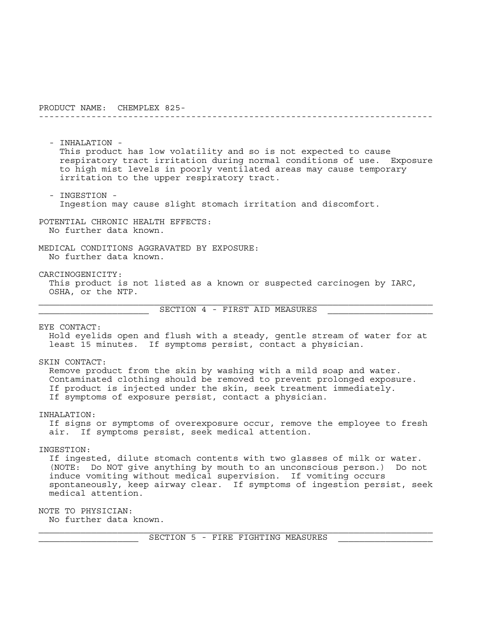- INHALATION - This product has low volatility and so is not expected to cause respiratory tract irritation during normal conditions of use. Exposure to high mist levels in poorly ventilated areas may cause temporary irritation to the upper respiratory tract.

---------------------------------------------------------------------------

 - INGESTION - Ingestion may cause slight stomach irritation and discomfort.

 POTENTIAL CHRONIC HEALTH EFFECTS: No further data known.

 MEDICAL CONDITIONS AGGRAVATED BY EXPOSURE: No further data known.

CARCINOGENICITY:

 This product is not listed as a known or suspected carcinogen by IARC, OSHA, or the NTP.

\_\_\_\_\_\_\_\_\_\_\_\_\_\_\_\_\_\_\_\_\_ SECTION 4 - FIRST AID MEASURES \_\_\_\_\_\_\_\_\_\_\_\_\_\_\_\_\_\_\_\_

EYE CONTACT:

 Hold eyelids open and flush with a steady, gentle stream of water for at least 15 minutes. If symptoms persist, contact a physician.

SKIN CONTACT:

 Remove product from the skin by washing with a mild soap and water. Contaminated clothing should be removed to prevent prolonged exposure. If product is injected under the skin, seek treatment immediately. If symptoms of exposure persist, contact a physician.

INHALATION:

 If signs or symptoms of overexposure occur, remove the employee to fresh air. If symptoms persist, seek medical attention.

INGESTION:

 If ingested, dilute stomach contents with two glasses of milk or water. (NOTE: Do NOT give anything by mouth to an unconscious person.) Do not induce vomiting without medical supervision. If vomiting occurs spontaneously, keep airway clear. If symptoms of ingestion persist, seek medical attention.

NOTE TO PHYSICIAN:

No further data known.

SECTION 5 - FIRE FIGHTING MEASURES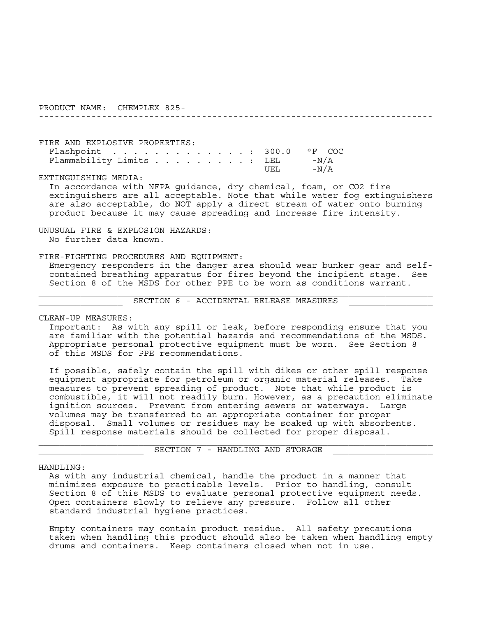FIRE AND EXPLOSIVE PROPERTIES: Flashpoint . . . . . . . . . . . . . : 300.0 °F COC Flammability Limits . . . . . . . . . : LEL -N/A UEL -N/A

EXTINGUISHING MEDIA:

 In accordance with NFPA guidance, dry chemical, foam, or CO2 fire extinguishers are all acceptable. Note that while water fog extinguishers are also acceptable, do NOT apply a direct stream of water onto burning product because it may cause spreading and increase fire intensity.

---------------------------------------------------------------------------

 UNUSUAL FIRE & EXPLOSION HAZARDS: No further data known.

FIRE-FIGHTING PROCEDURES AND EQUIPMENT:

 Emergency responders in the danger area should wear bunker gear and self contained breathing apparatus for fires beyond the incipient stage. See Section 8 of the MSDS for other PPE to be worn as conditions warrant.

SECTION 6 - ACCIDENTAL RELEASE MEASURES

CLEAN-UP MEASURES:

 Important: As with any spill or leak, before responding ensure that you are familiar with the potential hazards and recommendations of the MSDS. Appropriate personal protective equipment must be worn. See Section 8 of this MSDS for PPE recommendations.

 If possible, safely contain the spill with dikes or other spill response equipment appropriate for petroleum or organic material releases. Take measures to prevent spreading of product. Note that while product is combustible, it will not readily burn. However, as a precaution eliminate ignition sources. Prevent from entering sewers or waterways. Large volumes may be transferred to an appropriate container for proper disposal. Small volumes or residues may be soaked up with absorbents. Spill response materials should be collected for proper disposal.

SECTION 7 - HANDLING AND STORAGE

## HANDLING:

 As with any industrial chemical, handle the product in a manner that minimizes exposure to practicable levels. Prior to handling, consult Section 8 of this MSDS to evaluate personal protective equipment needs. Open containers slowly to relieve any pressure. Follow all other standard industrial hygiene practices.

 Empty containers may contain product residue. All safety precautions taken when handling this product should also be taken when handling empty drums and containers. Keep containers closed when not in use.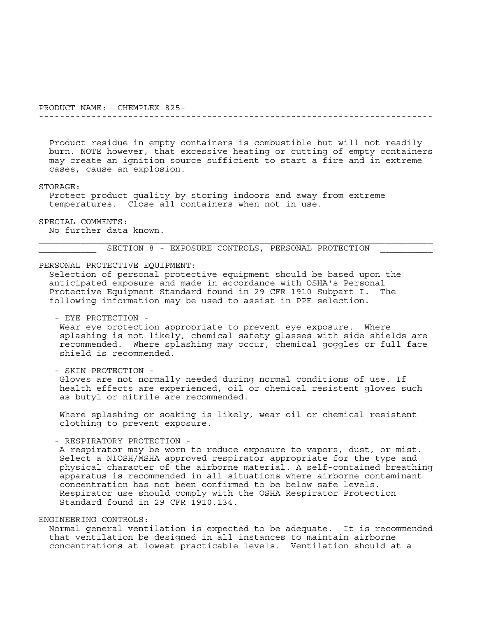Product residue in empty containers is combustible but will not readily burn. NOTE however, that excessive heating or cutting of empty containers may create an ignition source sufficient to start a fire and in extreme cases, cause an explosion.

---------------------------------------------------------------------------

#### STORAGE:

 Protect product quality by storing indoors and away from extreme temperatures. Close all containers when not in use.

SPECIAL COMMENTS:

No further data known.

SECTION 8 - EXPOSURE CONTROLS, PERSONAL PROTECTION

## PERSONAL PROTECTIVE EQUIPMENT:

 Selection of personal protective equipment should be based upon the anticipated exposure and made in accordance with OSHA's Personal Protective Equipment Standard found in 29 CFR 1910 Subpart I. The following information may be used to assist in PPE selection.

- EYE PROTECTION -

 Wear eye protection appropriate to prevent eye exposure. Where splashing is not likely, chemical safety glasses with side shields are recommended. Where splashing may occur, chemical goggles or full face shield is recommended.

- SKIN PROTECTION -

 Gloves are not normally needed during normal conditions of use. If health effects are experienced, oil or chemical resistent gloves such as butyl or nitrile are recommended.

 Where splashing or soaking is likely, wear oil or chemical resistent clothing to prevent exposure.

- RESPIRATORY PROTECTION -

 A respirator may be worn to reduce exposure to vapors, dust, or mist. Select a NIOSH/MSHA approved respirator appropriate for the type and physical character of the airborne material. A self-contained breathing apparatus is recommended in all situations where airborne contaminant concentration has not been confirmed to be below safe levels. Respirator use should comply with the OSHA Respirator Protection Standard found in 29 CFR 1910.134.

## ENGINEERING CONTROLS:

 Normal general ventilation is expected to be adequate. It is recommended that ventilation be designed in all instances to maintain airborne concentrations at lowest practicable levels. Ventilation should at a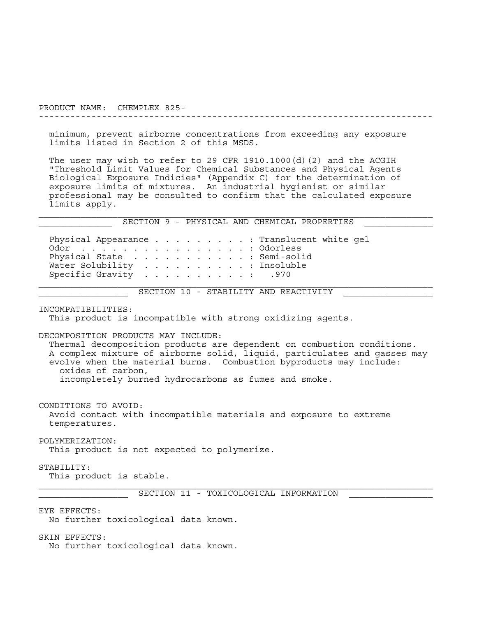---------------------------------------------------------------------------

 minimum, prevent airborne concentrations from exceeding any exposure limits listed in Section 2 of this MSDS.

 The user may wish to refer to 29 CFR 1910.1000(d)(2) and the ACGIH "Threshold Limit Values for Chemical Substances and Physical Agents Biological Exposure Indicies" (Appendix C) for the determination of exposure limits of mixtures. An industrial hygienist or similar professional may be consulted to confirm that the calculated exposure limits apply.

SECTION 9 - PHYSICAL AND CHEMICAL PROPERTIES

Physical Appearance . . . . . . . . . Translucent white gel Odor . . . . . . . . . . . . . . . . . Odorless Physical State . . . . . . . . . . . Semi-solid Water Solubility . . . . . . . . . . : Insoluble Specific Gravity . . . . . . . . . . : .970

\_\_\_\_\_\_\_\_\_\_\_\_\_\_\_\_\_ SECTION 10 - STABILITY AND REACTIVITY \_\_\_\_\_\_\_\_\_\_\_\_\_\_\_\_\_

INCOMPATIBILITIES:

This product is incompatible with strong oxidizing agents.

DECOMPOSITION PRODUCTS MAY INCLUDE:

 Thermal decomposition products are dependent on combustion conditions. A complex mixture of airborne solid, liquid, particulates and gasses may evolve when the material burns. Combustion byproducts may include: oxides of carbon, incompletely burned hydrocarbons as fumes and smoke.

CONDITIONS TO AVOID:

 Avoid contact with incompatible materials and exposure to extreme temperatures.

POLYMERIZATION:

This product is not expected to polymerize.

STABILITY:

This product is stable.

SECTION 11 - TOXICOLOGICAL INFORMATION

#### EYE EFFECTS:

No further toxicological data known.

SKIN EFFECTS:

No further toxicological data known.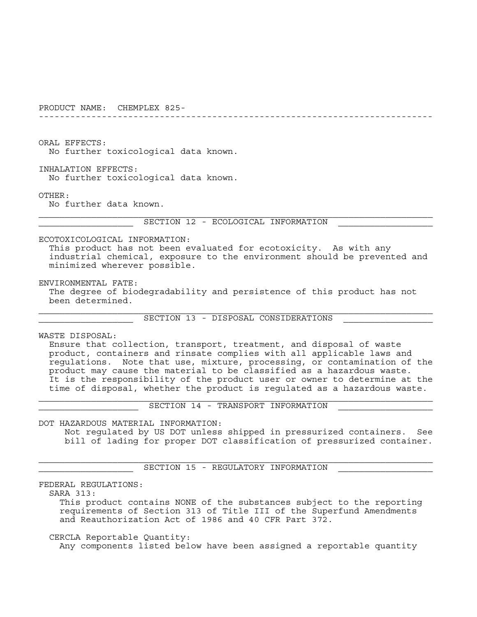---------------------------------------------------------------------------

ORAL EFFECTS:

No further toxicological data known.

 INHALATION EFFECTS: No further toxicological data known.

OTHER:

No further data known.

SECTION 12 - ECOLOGICAL INFORMATION

ECOTOXICOLOGICAL INFORMATION:

 This product has not been evaluated for ecotoxicity. As with any industrial chemical, exposure to the environment should be prevented and minimized wherever possible.

 ENVIRONMENTAL FATE: The degree of biodegradability and persistence of this product has not been determined.

\_\_\_\_\_\_\_\_\_\_\_\_\_\_\_\_\_\_ SECTION 13 - DISPOSAL CONSIDERATIONS \_\_\_\_\_\_\_\_\_\_\_\_\_\_\_\_\_

WASTE DISPOSAL:

 Ensure that collection, transport, treatment, and disposal of waste product, containers and rinsate complies with all applicable laws and regulations. Note that use, mixture, processing, or contamination of the product may cause the material to be classified as a hazardous waste. It is the responsibility of the product user or owner to determine at the time of disposal, whether the product is regulated as a hazardous waste.

SECTION 14 - TRANSPORT INFORMATION

DOT HAZARDOUS MATERIAL INFORMATION:

 Not regulated by US DOT unless shipped in pressurized containers. See bill of lading for proper DOT classification of pressurized container.

SECTION 15 - REGULATORY INFORMATION

FEDERAL REGULATIONS:

SARA 313:

 This product contains NONE of the substances subject to the reporting requirements of Section 313 of Title III of the Superfund Amendments and Reauthorization Act of 1986 and 40 CFR Part 372.

 CERCLA Reportable Quantity: Any components listed below have been assigned a reportable quantity